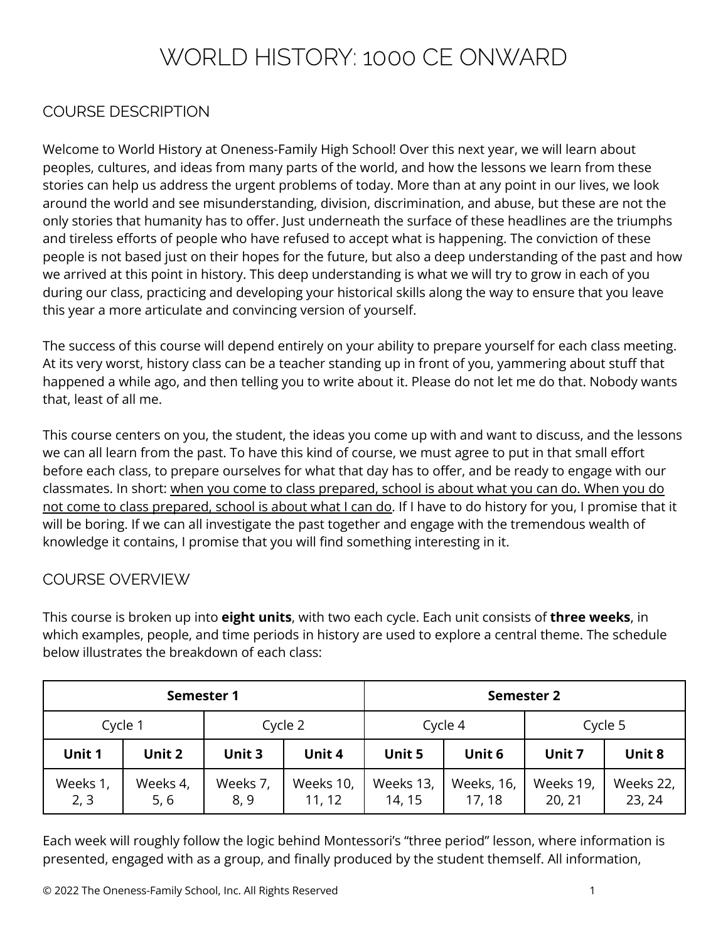# WORLD HISTORY: 1000 CE ONWARD

### COURSE DESCRIPTION

Welcome to World History at Oneness-Family High School! Over this next year, we will learn about peoples, cultures, and ideas from many parts of the world, and how the lessons we learn from these stories can help us address the urgent problems of today. More than at any point in our lives, we look around the world and see misunderstanding, division, discrimination, and abuse, but these are not the only stories that humanity has to offer. Just underneath the surface of these headlines are the triumphs and tireless efforts of people who have refused to accept what is happening. The conviction of these people is not based just on their hopes for the future, but also a deep understanding of the past and how we arrived at this point in history. This deep understanding is what we will try to grow in each of you during our class, practicing and developing your historical skills along the way to ensure that you leave this year a more articulate and convincing version of yourself.

The success of this course will depend entirely on your ability to prepare yourself for each class meeting. At its very worst, history class can be a teacher standing up in front of you, yammering about stuff that happened a while ago, and then telling you to write about it. Please do not let me do that. Nobody wants that, least of all me.

This course centers on you, the student, the ideas you come up with and want to discuss, and the lessons we can all learn from the past. To have this kind of course, we must agree to put in that small effort before each class, to prepare ourselves for what that day has to offer, and be ready to engage with our classmates. In short: when you come to class prepared, school is about what you can do. When you do not come to class prepared, school is about what I can do. If I have to do history for you, I promise that it will be boring. If we can all investigate the past together and engage with the tremendous wealth of knowledge it contains, I promise that you will find something interesting in it.

### COURSE OVERVIEW

This course is broken up into **eight units**, with two each cycle. Each unit consists of **three weeks**, in which examples, people, and time periods in history are used to explore a central theme. The schedule below illustrates the breakdown of each class:

| <b>Semester 1</b> |                  |                  | <b>Semester 2</b>   |                     |                      |                     |                     |
|-------------------|------------------|------------------|---------------------|---------------------|----------------------|---------------------|---------------------|
| Cycle 1           |                  | Cycle 2          |                     | Cycle 4             |                      | Cycle 5             |                     |
| Unit 1            | Unit 2           | Unit 3           | Unit 4              | Unit 5              | Unit 6               | Unit 7              | Unit 8              |
| Weeks 1,<br>2, 3  | Weeks 4,<br>5, 6 | Weeks 7,<br>8, 9 | Weeks 10,<br>11, 12 | Weeks 13,<br>14, 15 | Weeks, 16,<br>17, 18 | Weeks 19,<br>20, 21 | Weeks 22,<br>23, 24 |

Each week will roughly follow the logic behind Montessori's "three period" lesson, where information is presented, engaged with as a group, and finally produced by the student themself. All information,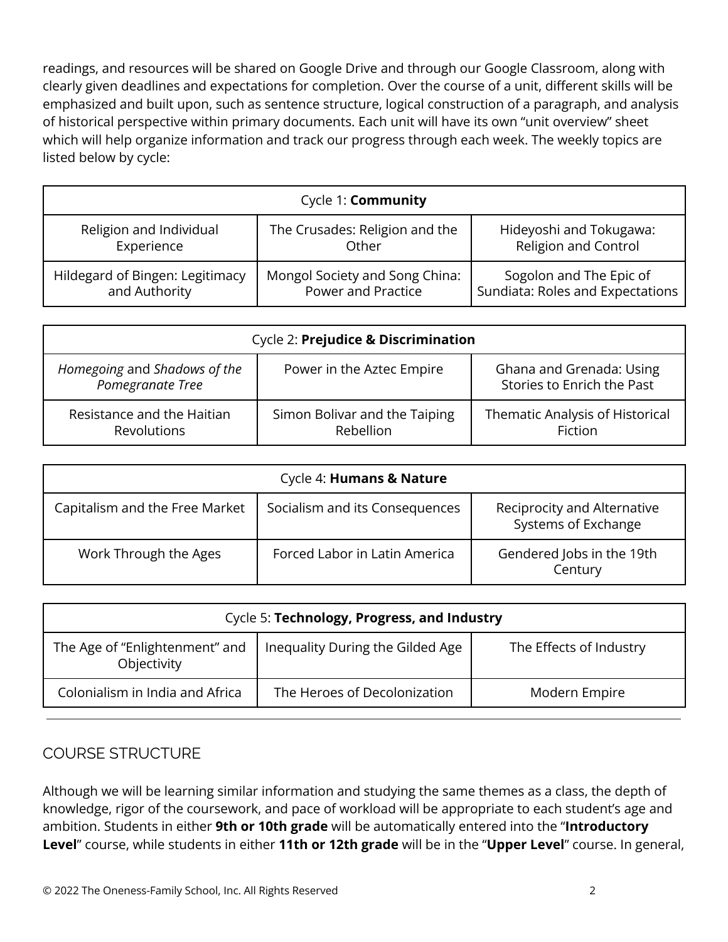readings, and resources will be shared on Google Drive and through our Google Classroom, along with clearly given deadlines and expectations for completion. Over the course of a unit, different skills will be emphasized and built upon, such as sentence structure, logical construction of a paragraph, and analysis of historical perspective within primary documents. Each unit will have its own "unit overview" sheet which will help organize information and track our progress through each week. The weekly topics are listed below by cycle:

| Cycle 1: <b>Community</b>       |                                |                                  |  |  |
|---------------------------------|--------------------------------|----------------------------------|--|--|
| Religion and Individual         | The Crusades: Religion and the | Hideyoshi and Tokugawa:          |  |  |
| Experience                      | Other                          | <b>Religion and Control</b>      |  |  |
| Hildegard of Bingen: Legitimacy | Mongol Society and Song China: | Sogolon and The Epic of          |  |  |
| and Authority                   | Power and Practice             | Sundiata: Roles and Expectations |  |  |

| Cycle 2: Prejudice & Discrimination              |                                                   |                                                        |  |
|--------------------------------------------------|---------------------------------------------------|--------------------------------------------------------|--|
| Homegoing and Shadows of the<br>Pomegranate Tree | Power in the Aztec Empire                         | Ghana and Grenada: Using<br>Stories to Enrich the Past |  |
| Resistance and the Haitian<br><b>Revolutions</b> | Simon Bolivar and the Taiping<br><b>Rebellion</b> | Thematic Analysis of Historical<br>Fiction             |  |

| Cycle 4: Humans & Nature       |                                |                                                    |  |
|--------------------------------|--------------------------------|----------------------------------------------------|--|
| Capitalism and the Free Market | Socialism and its Consequences | Reciprocity and Alternative<br>Systems of Exchange |  |
| Work Through the Ages          | Forced Labor in Latin America  | Gendered Jobs in the 19th<br>Century               |  |

| Cycle 5: Technology, Progress, and Industry   |                                  |                         |  |
|-----------------------------------------------|----------------------------------|-------------------------|--|
| The Age of "Enlightenment" and<br>Objectivity | Inequality During the Gilded Age | The Effects of Industry |  |
| Colonialism in India and Africa               | The Heroes of Decolonization     | Modern Empire           |  |

### COURSE STRUCTURE

Although we will be learning similar information and studying the same themes as a class, the depth of knowledge, rigor of the coursework, and pace of workload will be appropriate to each student's age and ambition. Students in either **9th or 10th grade** will be automatically entered into the "**Introductory Level**" course, while students in either **11th or 12th grade** will be in the "**Upper Level**" course. In general,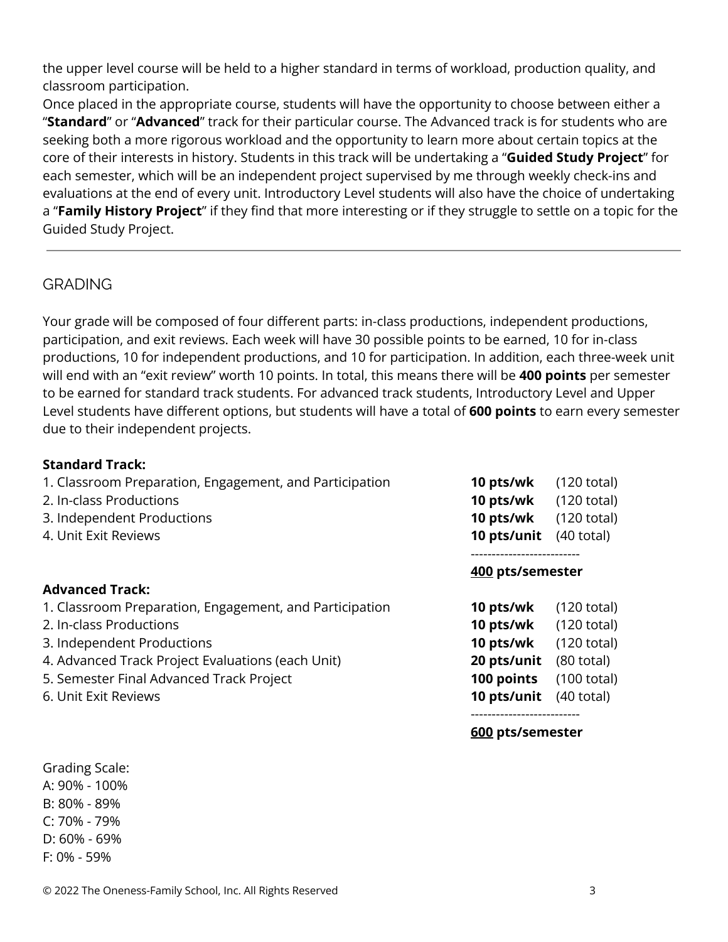the upper level course will be held to a higher standard in terms of workload, production quality, and classroom participation.

Once placed in the appropriate course, students will have the opportunity to choose between either a "**Standard**" or "**Advanced**" track for their particular course. The Advanced track is for students who are seeking both a more rigorous workload and the opportunity to learn more about certain topics at the core of their interests in history. Students in this track will be undertaking a "**Guided Study Project**" for each semester, which will be an independent project supervised by me through weekly check-ins and evaluations at the end of every unit. Introductory Level students will also have the choice of undertaking a "**Family History Project**" if they find that more interesting or if they struggle to settle on a topic for the Guided Study Project.

### **GRADING**

Your grade will be composed of four different parts: in-class productions, independent productions, participation, and exit reviews. Each week will have 30 possible points to be earned, 10 for in-class productions, 10 for independent productions, and 10 for participation. In addition, each three-week unit will end with an "exit review" worth 10 points. In total, this means there will be **400 points** per semester to be earned for standard track students. For advanced track students, Introductory Level and Upper Level students have different options, but students will have a total of **600 points** to earn every semester due to their independent projects.

### **Standard Track:**

| 1. Classroom Preparation, Engagement, and Participation |  |  |
|---------------------------------------------------------|--|--|
|---------------------------------------------------------|--|--|

- 
- 3. Independent Productions **10 pts/wk** (120 total)
- 

### **Advanced Track:**

1. Classroom Preparation, Engagement, and Participation

- 2. In-class Productions **10 pts/wk** (120 total)
- **3. Independent Productions**
- 4. Advanced Track Project Evaluations (each Unit)
- **5. Semester Final Advanced Track Project**
- 6. Unit Exit Reviews **10 pts/unit** (40 total)

## **10 pts/wk** (120 total) 2. In-class Productions **10 pts/wk** (120 total) 4. Unit Exit Reviews **10 pts/unit** (40 total) --------------------------

#### **400 pts/semester**

| $(120 \text{ total})$ |
|-----------------------|
| $(120 \text{ total})$ |
| $(120 \text{ total})$ |
| $(80 \text{ total})$  |
| (100 total)           |
| $(40 \text{ total})$  |
|                       |

--------------------------

**600 pts/semester**

Grading Scale: A: 90% - 100% B: 80% - 89% C: 70% - 79% D: 60% - 69%

F: 0% - 59%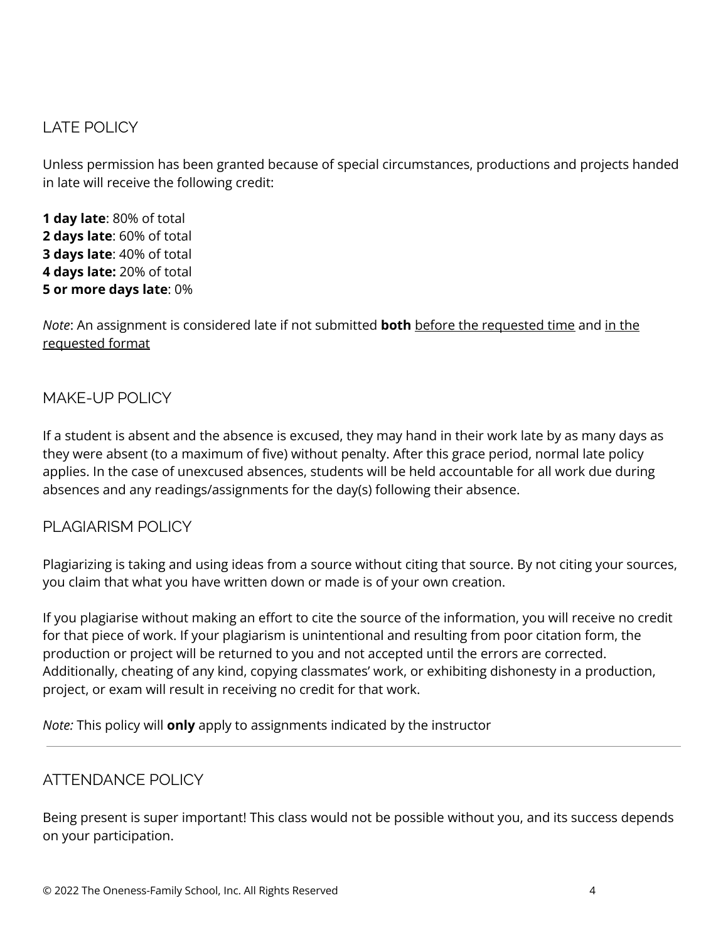### LATE POLICY

Unless permission has been granted because of special circumstances, productions and projects handed in late will receive the following credit:

 **day late**: 80% of total **days late**: 60% of total **days late**: 40% of total **days late:** 20% of total **or more days late**: 0%

*Note*: An assignment is considered late if not submitted **both** before the requested time and in the requested format

### MAKE-UP POLICY

If a student is absent and the absence is excused, they may hand in their work late by as many days as they were absent (to a maximum of five) without penalty. After this grace period, normal late policy applies. In the case of unexcused absences, students will be held accountable for all work due during absences and any readings/assignments for the day(s) following their absence.

### PLAGIARISM POLICY

Plagiarizing is taking and using ideas from a source without citing that source. By not citing your sources, you claim that what you have written down or made is of your own creation.

If you plagiarise without making an effort to cite the source of the information, you will receive no credit for that piece of work. If your plagiarism is unintentional and resulting from poor citation form, the production or project will be returned to you and not accepted until the errors are corrected. Additionally, cheating of any kind, copying classmates' work, or exhibiting dishonesty in a production, project, or exam will result in receiving no credit for that work.

*Note:* This policy will **only** apply to assignments indicated by the instructor

### ATTENDANCE POLICY

Being present is super important! This class would not be possible without you, and its success depends on your participation.